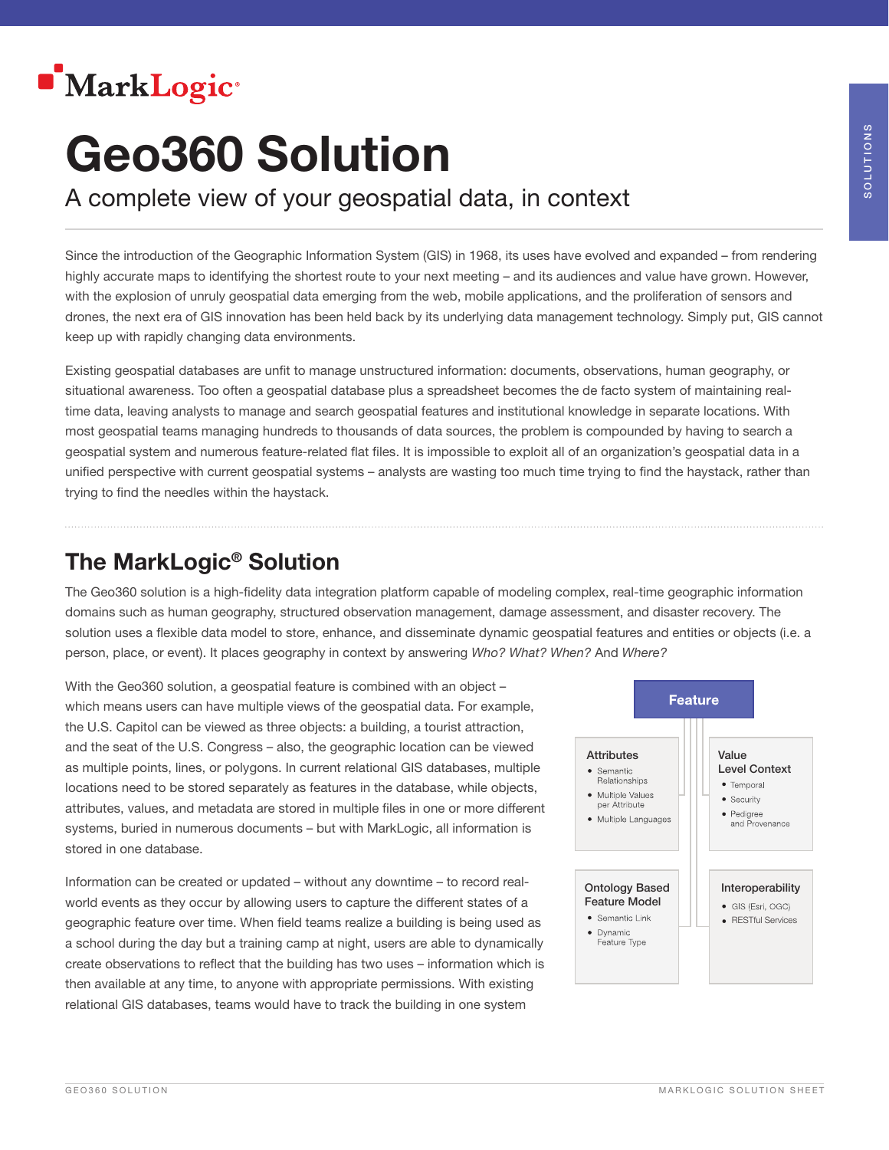

# Geo360 Solution

A complete view of your geospatial data, in context

Since the introduction of the Geographic Information System (GIS) in 1968, its uses have evolved and expanded – from rendering highly accurate maps to identifying the shortest route to your next meeting – and its audiences and value have grown. However, with the explosion of unruly geospatial data emerging from the web, mobile applications, and the proliferation of sensors and drones, the next era of GIS innovation has been held back by its underlying data management technology. Simply put, GIS cannot keep up with rapidly changing data environments.

Existing geospatial databases are unfit to manage unstructured information: documents, observations, human geography, or situational awareness. Too often a geospatial database plus a spreadsheet becomes the de facto system of maintaining realtime data, leaving analysts to manage and search geospatial features and institutional knowledge in separate locations. With most geospatial teams managing hundreds to thousands of data sources, the problem is compounded by having to search a geospatial system and numerous feature-related flat files. It is impossible to exploit all of an organization's geospatial data in a unified perspective with current geospatial systems – analysts are wasting too much time trying to find the haystack, rather than trying to find the needles within the haystack.

### The MarkLogic® Solution

The Geo360 solution is a high-fidelity data integration platform capable of modeling complex, real-time geographic information domains such as human geography, structured observation management, damage assessment, and disaster recovery. The solution uses a flexible data model to store, enhance, and disseminate dynamic geospatial features and entities or objects (i.e. a person, place, or event). It places geography in context by answering *Who? What? When?* And *Where?*

With the Geo360 solution, a geospatial feature is combined with an object which means users can have multiple views of the geospatial data. For example, the U.S. Capitol can be viewed as three objects: a building, a tourist attraction, and the seat of the U.S. Congress – also, the geographic location can be viewed as multiple points, lines, or polygons. In current relational GIS databases, multiple locations need to be stored separately as features in the database, while objects, attributes, values, and metadata are stored in multiple files in one or more different systems, buried in numerous documents – but with MarkLogic, all information is stored in one database.

Information can be created or updated – without any downtime – to record realworld events as they occur by allowing users to capture the different states of a geographic feature over time. When field teams realize a building is being used as a school during the day but a training camp at night, users are able to dynamically create observations to reflect that the building has two uses – information which is then available at any time, to anyone with appropriate permissions. With existing relational GIS databases, teams would have to track the building in one system